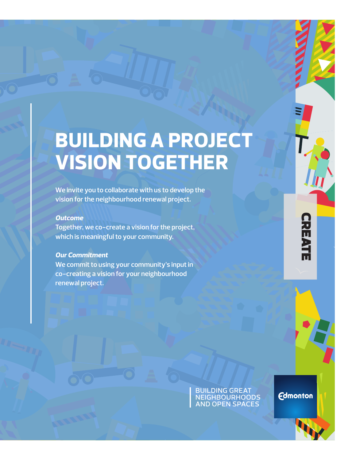# **BUILDING A PROJECT VISION TOGETHER**

**We invite you to collaborate with us to develop the vision for the neighbourhood renewal project.**

## *Outcome*

**Together, we co-create a vision for the project, which is meaningful to your community.**

## *Our Commitment*

**We commit to using your community's input in co-creating a vision for your neighbourhood renewal project.**

> building great neighbourhoods and open spaces

**Edmonton** 

**CREATI CREATE**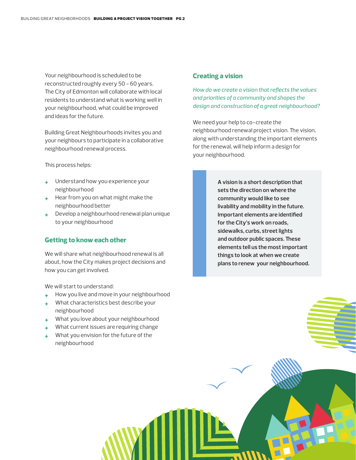Your neighbourhood is scheduled to be reconstructed roughly every 50 - 60 years. The City of Edmonton will collaborate with local residents to understand what is working well in your neighbourhood, what could be improved and ideas for the future.

Building Great Neighbourhoods invites you and your neighbours to participate in a collaborative neighbourhood renewal process.

This process helps:

- **+** Understand how you experience your neighbourhood
- **+** Hear from you on what might make the neighbourhood better
- **+** Develop a neighbourhood renewal plan unique to your neighbourhood

#### **Getting to know each other**

We will share what neighbourhood renewal is all about, how the City makes project decisions and how you can get involved.

We will start to understand:

- **+** How you live and move in your neighbourhood
- **+** What characteristics best describe your neighbourhood
- **+** What you love about your neighbourhood
- **+** What current issues are requiring change
- **+** What you envision for the future of the neighbourhood

#### **Creating a vision**

*How do we create a vision that reflects the values and priorities of a community and shapes the design and construction of a great neighbourhood?*

We need your help to co-create the neighbourhood renewal project vision. The vision, along with understanding the important elements for the renewal, will help inform a design for your neighbourhood.

> **A vision is a short description that sets the direction on where the community would like to see livability and mobility in the future. Important elements are identified for the City's work on roads, sidewalks, curbs, street lights and outdoor public spaces. These elements tell us the most important things to look at when we create plans to renew your neighbourhood.**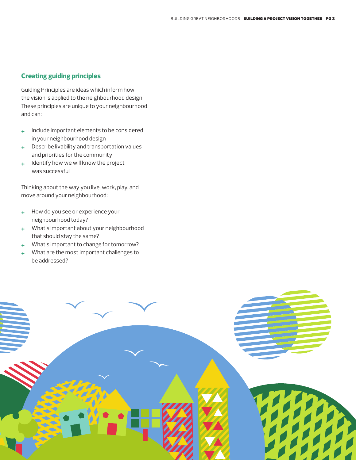## **Creating guiding principles**

Guiding Principles are ideas which inform how the vision is applied to the neighbourhood design. These principles are unique to your neighbourhood and can:

- **+** Include important elements to be considered in your neighbourhood design
- **+** Describe livability and transportation values and priorities for the community
- **+** Identify how we will know the project was successful

Thinking about the way you live, work, play, and move around your neighbourhood:

- **+** How do you see or experience your neighbourhood today?
- **+** What's important about your neighbourhood that should stay the same?
- **+** What's important to change for tomorrow?
- **+** What are the most important challenges to be addressed?